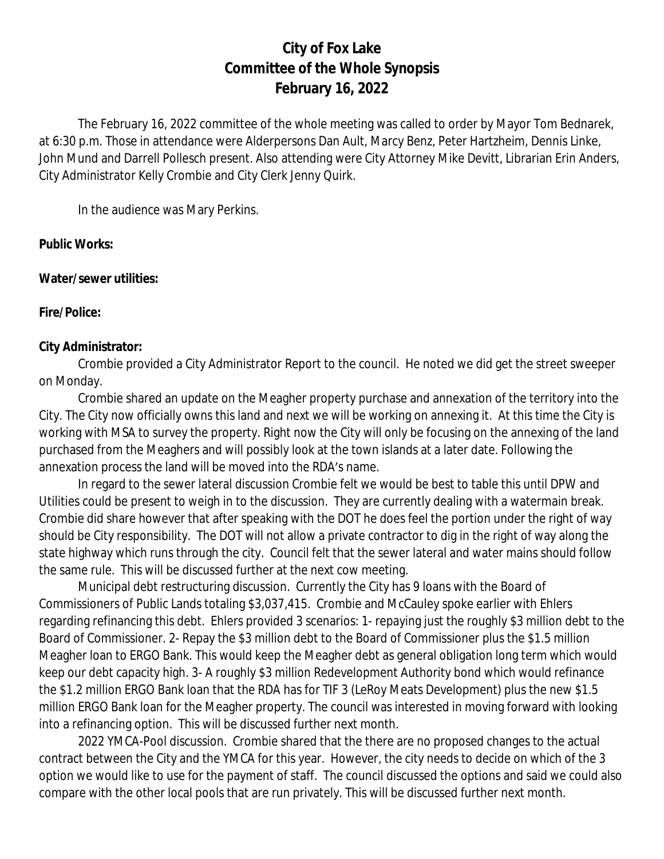# **City of Fox Lake Committee of the Whole Synopsis February 16, 2022**

The February 16, 2022 committee of the whole meeting was called to order by Mayor Tom Bednarek, at 6:30 p.m. Those in attendance were Alderpersons Dan Ault, Marcy Benz, Peter Hartzheim, Dennis Linke, John Mund and Darrell Pollesch present. Also attending were City Attorney Mike Devitt, Librarian Erin Anders, City Administrator Kelly Crombie and City Clerk Jenny Quirk.

In the audience was Mary Perkins.

#### **Public Works:**

**Water/sewer utilities:**

**Fire/Police:**

#### **City Administrator:**

Crombie provided a City Administrator Report to the council. He noted we did get the street sweeper on Monday.

Crombie shared an update on the Meagher property purchase and annexation of the territory into the City. The City now officially owns this land and next we will be working on annexing it. At this time the City is working with MSA to survey the property. Right now the City will only be focusing on the annexing of the land purchased from the Meaghers and will possibly look at the town islands at a later date. Following the annexation process the land will be moved into the RDA's name.

In regard to the sewer lateral discussion Crombie felt we would be best to table this until DPW and Utilities could be present to weigh in to the discussion. They are currently dealing with a watermain break. Crombie did share however that after speaking with the DOT he does feel the portion under the right of way should be City responsibility. The DOT will not allow a private contractor to dig in the right of way along the state highway which runs through the city. Council felt that the sewer lateral and water mains should follow the same rule. This will be discussed further at the next cow meeting.

Municipal debt restructuring discussion. Currently the City has 9 loans with the Board of Commissioners of Public Lands totaling \$3,037,415. Crombie and McCauley spoke earlier with Ehlers regarding refinancing this debt. Ehlers provided 3 scenarios: 1- repaying just the roughly \$3 million debt to the Board of Commissioner. 2- Repay the \$3 million debt to the Board of Commissioner plus the \$1.5 million Meagher loan to ERGO Bank. This would keep the Meagher debt as general obligation long term which would keep our debt capacity high. 3- A roughly \$3 million Redevelopment Authority bond which would refinance the \$1.2 million ERGO Bank loan that the RDA has for TIF 3 (LeRoy Meats Development) plus the new \$1.5 million ERGO Bank loan for the Meagher property. The council was interested in moving forward with looking into a refinancing option. This will be discussed further next month.

2022 YMCA-Pool discussion. Crombie shared that the there are no proposed changes to the actual contract between the City and the YMCA for this year. However, the city needs to decide on which of the 3 option we would like to use for the payment of staff. The council discussed the options and said we could also compare with the other local pools that are run privately. This will be discussed further next month.